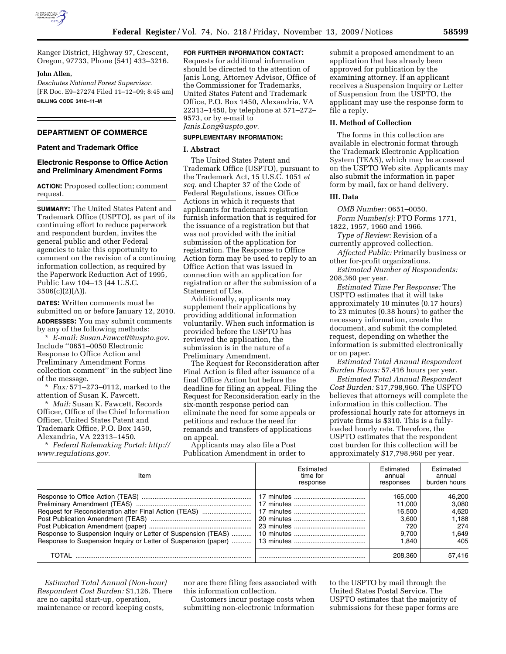

Ranger District, Highway 97, Crescent, Oregon, 97733, Phone (541) 433–3216.

### **John Allen,**

*Deschutes National Forest Supervisor.*  [FR Doc. E9–27274 Filed 11–12–09; 8:45 am] **BILLING CODE 3410–11–M** 

## **DEPARTMENT OF COMMERCE**

#### **Patent and Trademark Office**

## **Electronic Response to Office Action and Preliminary Amendment Forms**

**ACTION:** Proposed collection; comment request.

**SUMMARY:** The United States Patent and Trademark Office (USPTO), as part of its continuing effort to reduce paperwork and respondent burden, invites the general public and other Federal agencies to take this opportunity to comment on the revision of a continuing information collection, as required by the Paperwork Reduction Act of 1995, Public Law 104–13 (44 U.S.C.  $3506(c)(2)(A)$ ).

**DATES:** Written comments must be submitted on or before January 12, 2010.

**ADDRESSES:** You may submit comments by any of the following methods:

\* *E-mail: Susan.Fawcett@uspto.gov.*  Include ''0651–0050 Electronic Response to Office Action and Preliminary Amendment Forms collection comment'' in the subject line of the message.

\* *Fax:* 571–273–0112, marked to the attention of Susan K. Fawcett.

\* *Mail:* Susan K. Fawcett, Records Officer, Office of the Chief Information Officer, United States Patent and Trademark Office, P.O. Box 1450, Alexandria, VA 22313–1450.

\* *Federal Rulemaking Portal: http:// www.regulations.gov.* 

**FOR FURTHER INFORMATION CONTACT:**  Requests for additional information should be directed to the attention of Janis Long, Attorney Advisor, Office of the Commissioner for Trademarks, United States Patent and Trademark Office, P.O. Box 1450, Alexandria, VA 22313–1450, by telephone at 571–272– 9573, or by e-mail to *Janis.Long@uspto.gov.* 

#### **SUPPLEMENTARY INFORMATION:**

#### **I. Abstract**

The United States Patent and Trademark Office (USPTO), pursuant to the Trademark Act, 15 U.S.C. 1051 *et seq.* and Chapter 37 of the Code of Federal Regulations, issues Office Actions in which it requests that applicants for trademark registration furnish information that is required for the issuance of a registration but that was not provided with the initial submission of the application for registration. The Response to Office Action form may be used to reply to an Office Action that was issued in connection with an application for registration or after the submission of a Statement of Use.

Additionally, applicants may supplement their applications by providing additional information voluntarily. When such information is provided before the USPTO has reviewed the application, the submission is in the nature of a Preliminary Amendment.

The Request for Reconsideration after Final Action is filed after issuance of a final Office Action but before the deadline for filing an appeal. Filing the Request for Reconsideration early in the six-month response period can eliminate the need for some appeals or petitions and reduce the need for remands and transfers of applications on appeal.

Applicants may also file a Post Publication Amendment in order to submit a proposed amendment to an application that has already been approved for publication by the examining attorney. If an applicant receives a Suspension Inquiry or Letter of Suspension from the USPTO, the applicant may use the response form to file a reply.

### **II. Method of Collection**

The forms in this collection are available in electronic format through the Trademark Electronic Application System (TEAS), which may be accessed on the USPTO Web site. Applicants may also submit the information in paper form by mail, fax or hand delivery.

### **III. Data**

*OMB Number:* 0651–0050. *Form Number(s):* PTO Forms 1771, 1822, 1957, 1960 and 1966.

*Type of Review:* Revision of a currently approved collection.

*Affected Public:* Primarily business or other for-profit organizations.

*Estimated Number of Respondents:*  208,360 per year.

*Estimated Time Per Response:* The USPTO estimates that it will take approximately 10 minutes (0.17 hours) to 23 minutes (0.38 hours) to gather the necessary information, create the document, and submit the completed request, depending on whether the information is submitted electronically or on paper.

*Estimated Total Annual Respondent Burden Hours:* 57,416 hours per year.

*Estimated Total Annual Respondent Cost Burden:* \$17,798,960. The USPTO believes that attorneys will complete the information in this collection. The professional hourly rate for attorneys in private firms is \$310. This is a fullyloaded hourly rate. Therefore, the USPTO estimates that the respondent cost burden for this collection will be approximately \$17,798,960 per year.

| Item                                                  | Estimated<br>time for<br>response | Estimated<br>annual<br>responses | Estimated<br>annual<br>burden hours |
|-------------------------------------------------------|-----------------------------------|----------------------------------|-------------------------------------|
|                                                       |                                   | 165.000                          | 46,200                              |
|                                                       |                                   | 11.000                           | 3.080                               |
| Request for Reconsideration after Final Action (TEAS) |                                   | 16.500                           | 4.620                               |
|                                                       |                                   | 3.600                            | 1.188                               |
|                                                       |                                   | 720                              | 274                                 |
|                                                       |                                   | 9.700                            | 1.649                               |
|                                                       |                                   | 1.840                            | 405                                 |
| TOTAI                                                 |                                   | 208.360                          | 57.416                              |

*Estimated Total Annual (Non-hour) Respondent Cost Burden:* \$1,126. There are no capital start-up, operation, maintenance or record keeping costs,

nor are there filing fees associated with this information collection.

Customers incur postage costs when submitting non-electronic information

to the USPTO by mail through the United States Postal Service. The USPTO estimates that the majority of submissions for these paper forms are